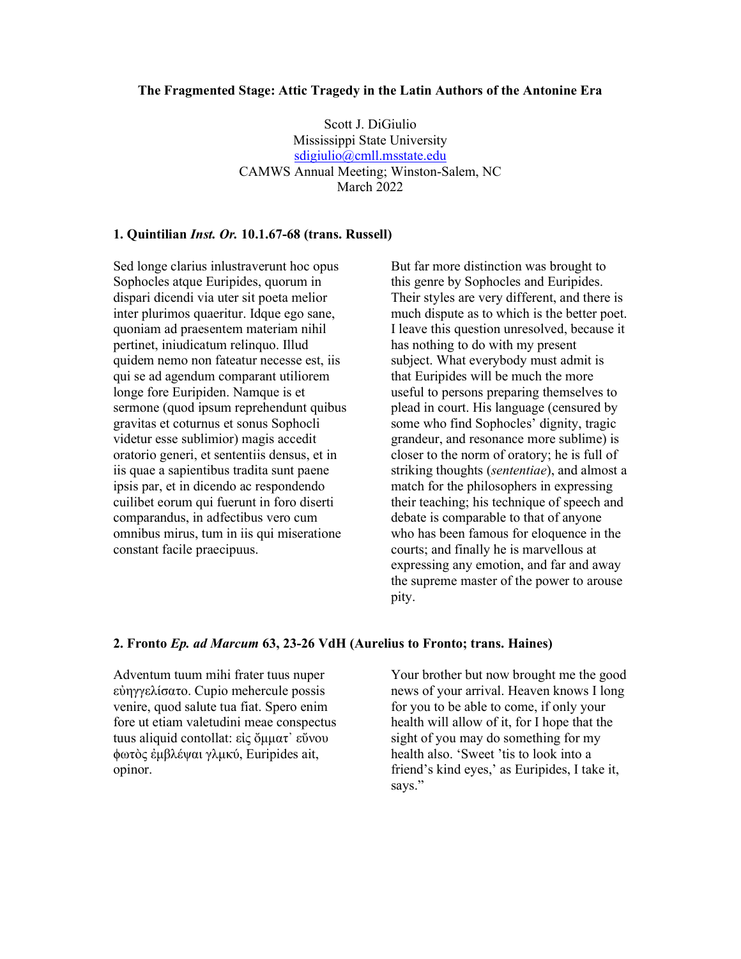#### The Fragmented Stage: Attic Tragedy in the Latin Authors of the Antonine Era

Scott J. DiGiulio Mississippi State University sdigiulio@cmll.msstate.edu CAMWS Annual Meeting; Winston-Salem, NC March 2022

## 1. Quintilian Inst. Or. 10.1.67-68 (trans. Russell)

Sed longe clarius inlustraverunt hoc opus Sophocles atque Euripides, quorum in dispari dicendi via uter sit poeta melior inter plurimos quaeritur. Idque ego sane, quoniam ad praesentem materiam nihil pertinet, iniudicatum relinquo. Illud quidem nemo non fateatur necesse est, iis qui se ad agendum comparant utiliorem longe fore Euripiden. Namque is et sermone (quod ipsum reprehendunt quibus gravitas et coturnus et sonus Sophocli videtur esse sublimior) magis accedit oratorio generi, et sententiis densus, et in iis quae a sapientibus tradita sunt paene ipsis par, et in dicendo ac respondendo cuilibet eorum qui fuerunt in foro diserti comparandus, in adfectibus vero cum omnibus mirus, tum in iis qui miseratione constant facile praecipuus.

But far more distinction was brought to this genre by Sophocles and Euripides. Their styles are very different, and there is much dispute as to which is the better poet. I leave this question unresolved, because it has nothing to do with my present subject. What everybody must admit is that Euripides will be much the more useful to persons preparing themselves to plead in court. His language (censured by some who find Sophocles' dignity, tragic grandeur, and resonance more sublime) is closer to the norm of oratory; he is full of striking thoughts (sententiae), and almost a match for the philosophers in expressing their teaching; his technique of speech and debate is comparable to that of anyone who has been famous for eloquence in the courts; and finally he is marvellous at expressing any emotion, and far and away the supreme master of the power to arouse pity.

#### 2. Fronto Ep. ad Marcum 63, 23-26 VdH (Aurelius to Fronto; trans. Haines)

Adventum tuum mihi frater tuus nuper εὐηγγελίσατο. Cupio mehercule possis venire, quod salute tua fiat. Spero enim fore ut etiam valetudini meae conspectus tuus aliquid contollat: εἰς ὄμματ᾽ εὔνου ϕωτὸς ἐμβλέψαι γλμκύ, Euripides ait, opinor.

Your brother but now brought me the good news of your arrival. Heaven knows I long for you to be able to come, if only your health will allow of it, for I hope that the sight of you may do something for my health also. 'Sweet 'tis to look into a friend's kind eyes,' as Euripides, I take it, says."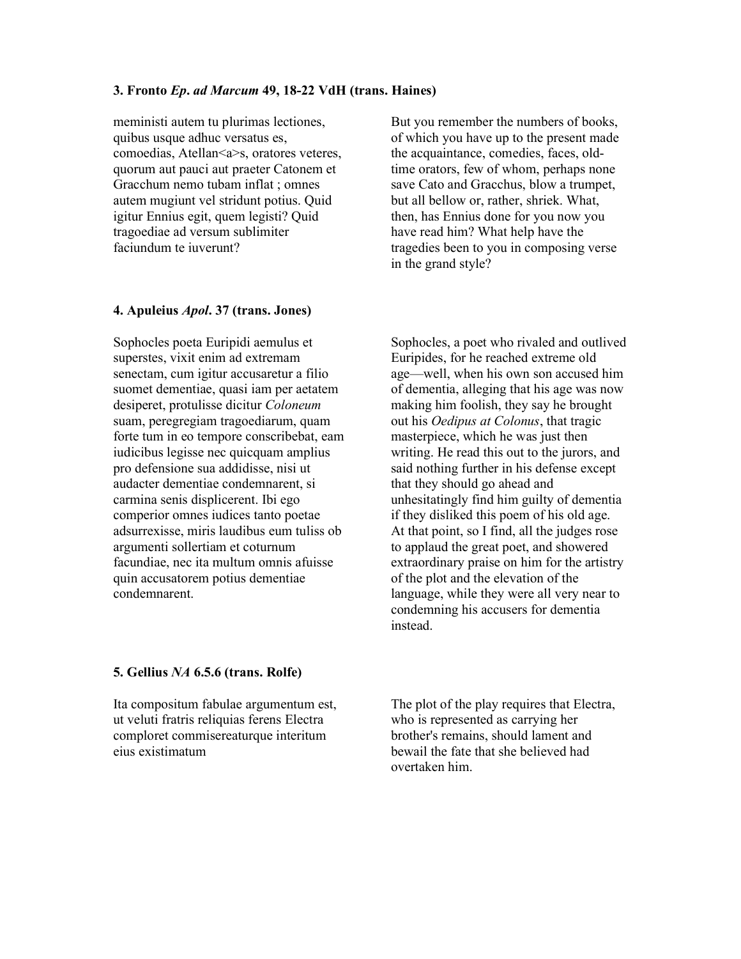#### 3. Fronto Ep. ad Marcum 49, 18-22 VdH (trans. Haines)

meministi autem tu plurimas lectiones, quibus usque adhuc versatus es, comoedias, Atellan<a>s, oratores veteres, quorum aut pauci aut praeter Catonem et Gracchum nemo tubam inflat ; omnes autem mugiunt vel stridunt potius. Quid igitur Ennius egit, quem legisti? Quid tragoediae ad versum sublimiter faciundum te iuverunt?

#### 4. Apuleius Apol. 37 (trans. Jones)

Sophocles poeta Euripidi aemulus et superstes, vixit enim ad extremam senectam, cum igitur accusaretur a filio suomet dementiae, quasi iam per aetatem desiperet, protulisse dicitur Coloneum suam, peregregiam tragoediarum, quam forte tum in eo tempore conscribebat, eam iudicibus legisse nec quicquam amplius pro defensione sua addidisse, nisi ut audacter dementiae condemnarent, si carmina senis displicerent. Ibi ego comperior omnes iudices tanto poetae adsurrexisse, miris laudibus eum tuliss ob argumenti sollertiam et coturnum facundiae, nec ita multum omnis afuisse quin accusatorem potius dementiae condemnarent.

But you remember the numbers of books, of which you have up to the present made the acquaintance, comedies, faces, oldtime orators, few of whom, perhaps none save Cato and Gracchus, blow a trumpet, but all bellow or, rather, shriek. What, then, has Ennius done for you now you have read him? What help have the tragedies been to you in composing verse in the grand style?

Sophocles, a poet who rivaled and outlived Euripides, for he reached extreme old age—well, when his own son accused him of dementia, alleging that his age was now making him foolish, they say he brought out his Oedipus at Colonus, that tragic masterpiece, which he was just then writing. He read this out to the jurors, and said nothing further in his defense except that they should go ahead and unhesitatingly find him guilty of dementia if they disliked this poem of his old age. At that point, so I find, all the judges rose to applaud the great poet, and showered extraordinary praise on him for the artistry of the plot and the elevation of the language, while they were all very near to condemning his accusers for dementia instead.

# 5. Gellius NA 6.5.6 (trans. Rolfe)

Ita compositum fabulae argumentum est, ut veluti fratris reliquias ferens Electra comploret commisereaturque interitum eius existimatum

The plot of the play requires that Electra, who is represented as carrying her brother's remains, should lament and bewail the fate that she believed had overtaken him.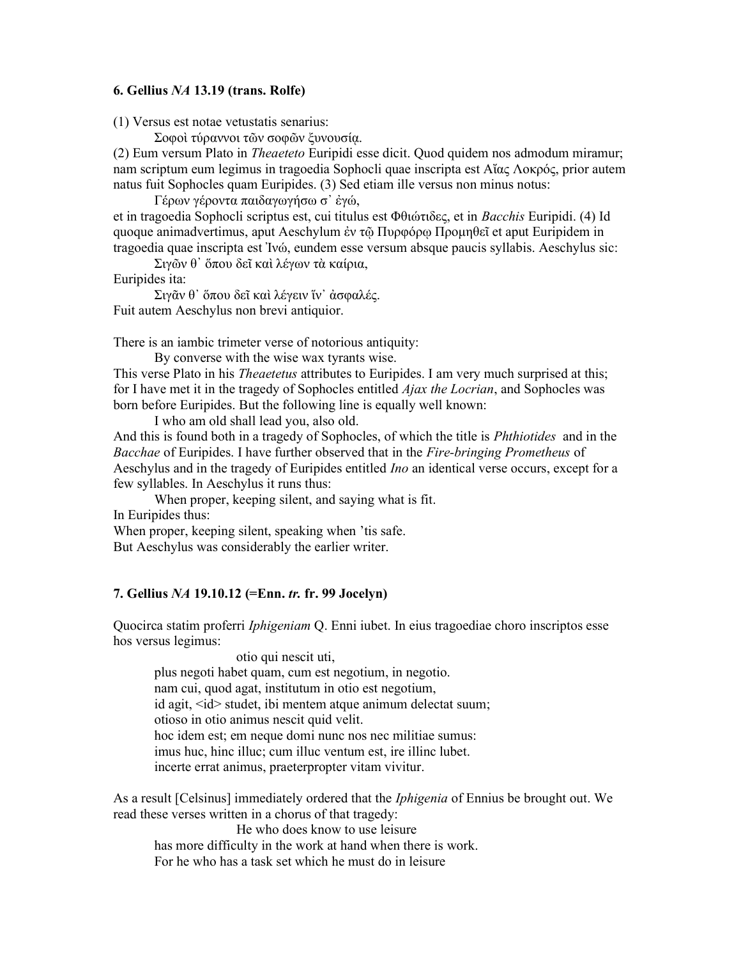## 6. Gellius NA 13.19 (trans. Rolfe)

(1) Versus est notae vetustatis senarius:

Σοφοὶ τύραννοι τῶν σοφῶν ξυνουσίᾳ.

(2) Eum versum Plato in Theaeteto Euripidi esse dicit. Quod quidem nos admodum miramur; nam scriptum eum legimus in tragoedia Sophocli quae inscripta est Αἴας Λοκρός, prior autem natus fuit Sophocles quam Euripides. (3) Sed etiam ille versus non minus notus:

Γέρων γέροντα παιδαγωγήσω σ᾿ ἐγώ,

et in tragoedia Sophocli scriptus est, cui titulus est Φθιώτιδες, et in Bacchis Euripidi. (4) Id quoque animadvertimus, aput Aeschylum ἐν τῷ Πυρφόρῳ Προμηθεῖ et aput Euripidem in tragoedia quae inscripta est Ἰνώ, eundem esse versum absque paucis syllabis. Aeschylus sic:

Σιγῶν θ᾿ ὅπου δεῖ καὶ λέγων τὰ καίρια,

Euripides ita:

Σιγᾶν θ᾿ ὅπου δεῖ καὶ λέγειν ἵν᾿ ἀσφαλές. Fuit autem Aeschylus non brevi antiquior.

There is an iambic trimeter verse of notorious antiquity:

By converse with the wise wax tyrants wise.

This verse Plato in his *Theaetetus* attributes to Euripides. I am very much surprised at this; for I have met it in the tragedy of Sophocles entitled  $A$ *jax the Locrian*, and Sophocles was born before Euripides. But the following line is equally well known:

I who am old shall lead you, also old.

And this is found both in a tragedy of Sophocles, of which the title is *Phthiotides* and in the Bacchae of Euripides. I have further observed that in the Fire-bringing Prometheus of Aeschylus and in the tragedy of Euripides entitled *Ino* an identical verse occurs, except for a few syllables. In Aeschylus it runs thus:

When proper, keeping silent, and saying what is fit. In Euripides thus:

When proper, keeping silent, speaking when 'tis safe.

But Aeschylus was considerably the earlier writer.

## 7. Gellius NA 19.10.12 (=Enn. tr. fr. 99 Jocelyn)

Quocirca statim proferri Iphigeniam Q. Enni iubet. In eius tragoediae choro inscriptos esse hos versus legimus:

 otio qui nescit uti, plus negoti habet quam, cum est negotium, in negotio. nam cui, quod agat, institutum in otio est negotium, id agit, <id> studet, ibi mentem atque animum delectat suum; otioso in otio animus nescit quid velit. hoc idem est; em neque domi nunc nos nec militiae sumus: imus huc, hinc illuc; cum illuc ventum est, ire illinc lubet. incerte errat animus, praeterpropter vitam vivitur.

As a result [Celsinus] immediately ordered that the *Iphigenia* of Ennius be brought out. We read these verses written in a chorus of that tragedy:

He who does know to use leisure has more difficulty in the work at hand when there is work. For he who has a task set which he must do in leisure